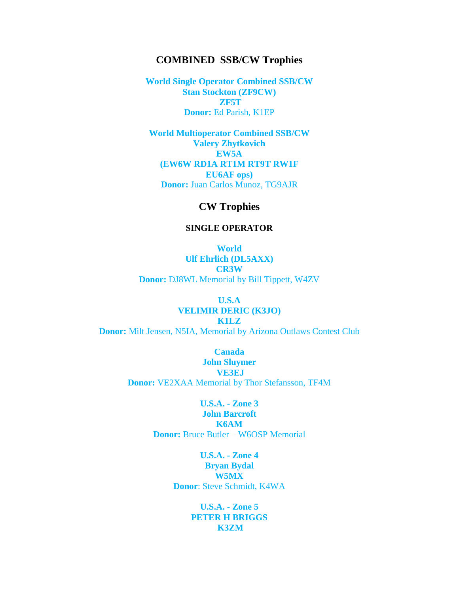## **COMBINED SSB/CW Trophies**

**World Single Operator Combined SSB/CW Stan Stockton (ZF9CW) ZF5T Donor:** Ed Parish, K1EP

**World Multioperator Combined SSB/CW Valery Zhytkovich EW5A (EW6W RD1A RT1M RT9T RW1F EU6AF ops) Donor:** Juan Carlos Munoz, TG9AJR

# **CW Trophies**

#### **SINGLE OPERATOR**

**World Ulf Ehrlich (DL5AXX) CR3W Donor:** DJ8WL Memorial by Bill Tippett, W4ZV

### **U.S.A VELIMIR DERIC (K3JO)**

**K1LZ Donor:** Milt Jensen, N5IA, Memorial by Arizona Outlaws Contest Club

> **Canada John Sluymer VE3EJ Donor:** VE2XAA Memorial by Thor Stefansson, TF4M

> > **U.S.A. - Zone 3 John Barcroft K6AM Donor:** Bruce Butler – W6OSP Memorial

> > > **U.S.A. - Zone 4 Bryan Bydal W5MX Donor**: Steve Schmidt, K4WA

> > > > **U.S.A. - Zone 5 PETER H BRIGGS K3ZM**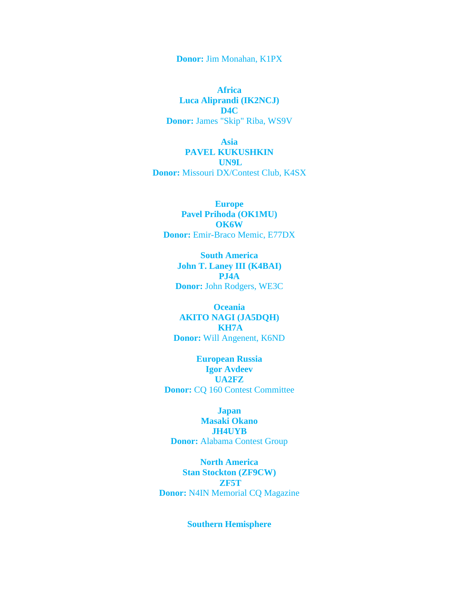**Donor:** Jim Monahan, K1PX

**Africa Luca Aliprandi (IK2NCJ) D4C Donor:** James "Skip" Riba, WS9V

**Asia PAVEL KUKUSHKIN UN9L Donor:** Missouri DX/Contest Club, K4SX

**Europe Pavel Prihoda (OK1MU) OK6W Donor:** Emir-Braco Memic, E77DX

**South America John T. Laney III (K4BAI) PJ4A Donor:** John Rodgers, WE3C

**Oceania AKITO NAGI (JA5DQH) KH7A Donor:** Will Angenent, K6ND

**European Russia Igor Avdeev UA2FZ Donor:** CQ 160 Contest Committee

**Japan Masaki Okano JH4UYB Donor:** Alabama Contest Group

**North America Stan Stockton (ZF9CW) ZF5T Donor:** N4IN Memorial CQ Magazine

**Southern Hemisphere**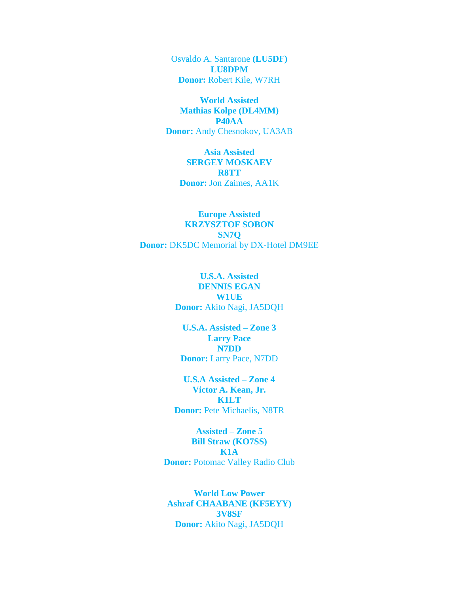Osvaldo A. Santarone **(LU5DF) LU8DPM Donor:** Robert Kile, W7RH

**World Assisted Mathias Kolpe (DL4MM) P40AA Donor:** Andy Chesnokov, UA3AB

**Asia Assisted SERGEY MOSKAEV R8TT Donor:** Jon Zaimes, AA1K

**Europe Assisted KRZYSZTOF SOBON SN7Q Donor:** DK5DC Memorial by DX-Hotel DM9EE

> **U.S.A. Assisted DENNIS EGAN W1UE Donor:** Akito Nagi, JA5DQH

**U.S.A. Assisted – Zone 3 Larry Pace N7DD Donor:** Larry Pace, N7DD

**U.S.A Assisted – Zone 4 Victor A. Kean, Jr. K1LT Donor:** Pete Michaelis, N8TR

**Assisted – Zone 5 Bill Straw (KO7SS) K1A Donor:** Potomac Valley Radio Club

**World Low Power Ashraf CHAABANE (KF5EYY) 3V8SF Donor:** Akito Nagi, JA5DQH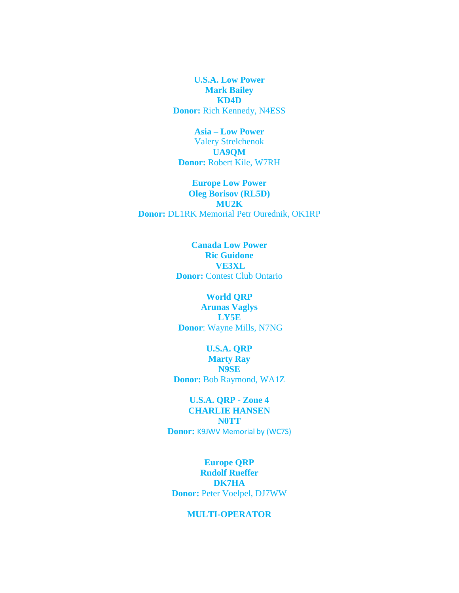**U.S.A. Low Power Mark Bailey KD4D Donor:** Rich Kennedy, N4ESS

**Asia – Low Power** Valery Strelchenok **UA9QM Donor:** Robert Kile, W7RH

**Europe Low Power Oleg Borisov (RL5D) MU2K Donor:** DL1RK Memorial Petr Ourednik, OK1RP

> **Canada Low Power Ric Guidone VE3XL Donor:** Contest Club Ontario

## **World QRP Arunas Vaglys LY5E Donor**: Wayne Mills, N7NG

**U.S.A. QRP Marty Ray N9SE Donor:** Bob Raymond, WA1Z

# **U.S.A. QRP - Zone 4 CHARLIE HANSEN N0TT Donor:** K9JWV Memorial by (WC7S)

**Europe QRP Rudolf Rueffer DK7HA Donor:** Peter Voelpel, DJ7WW

### **MULTI-OPERATOR**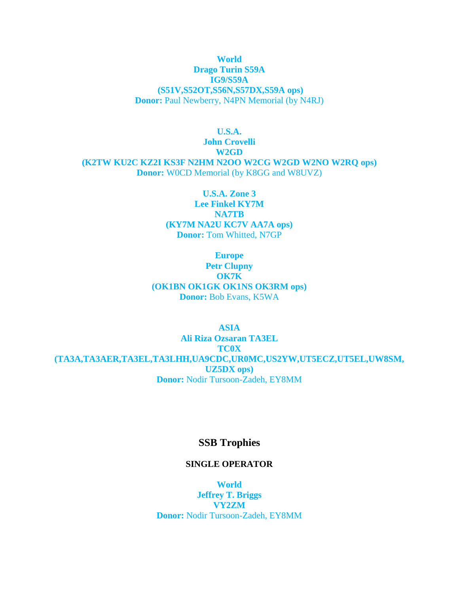## **World Drago Turin S59A IG9/S59A (S51V,S52OT,S56N,S57DX,S59A ops) Donor:** Paul Newberry, N4PN Memorial (by N4RJ)

**U.S.A. John Crovelli W2GD (K2TW KU2C KZ2I KS3F N2HM N2OO W2CG W2GD W2NO W2RQ ops) Donor:** W0CD Memorial (by K8GG and W8UVZ)

> **U.S.A. Zone 3 Lee Finkel KY7M NA7TB (KY7M NA2U KC7V AA7A ops) Donor:** Tom Whitted, N7GP

**Europe Petr Clupny OK7K (OK1BN OK1GK OK1NS OK3RM ops) Donor:** Bob Evans, K5WA

**ASIA Ali Riza Ozsaran TA3EL TC0X (TA3A,TA3AER,TA3EL,TA3LHH,UA9CDC,UR0MC,US2YW,UT5ECZ,UT5EL,UW8SM, UZ5DX ops) Donor:** Nodir Tursoon-Zadeh, EY8MM

# **SSB Trophies**

### **SINGLE OPERATOR**

**World Jeffrey T. Briggs VY2ZM Donor:** Nodir Tursoon-Zadeh, EY8MM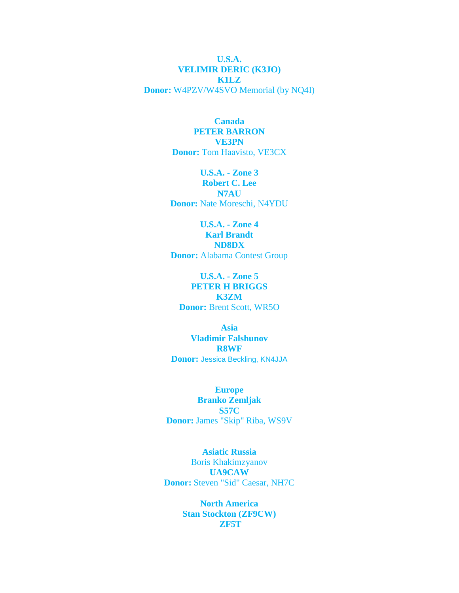**U.S.A. VELIMIR DERIC (K3JO) K1LZ Donor:** W4PZV/W4SVO Memorial (by NQ4I)

### **Canada PETER BARRON VE3PN Donor:** Tom Haavisto, VE3CX

**U.S.A. - Zone 3 Robert C. Lee N7AU Donor:** Nate Moreschi, N4YDU

**U.S.A. - Zone 4 Karl Brandt ND8DX Donor:** Alabama Contest Group

**U.S.A. - Zone 5 PETER H BRIGGS K3ZM Donor:** Brent Scott, WR5O

**Asia Vladimir Falshunov R8WF Donor:** Jessica Beckling, KN4JJA

**Europe Branko Zemljak S57C Donor:** James "Skip" Riba, WS9V

**Asiatic Russia**  Boris Khakimzyanov **UA9CAW Donor:** Steven "Sid" Caesar, NH7C

> **North America Stan Stockton (ZF9CW) ZF5T**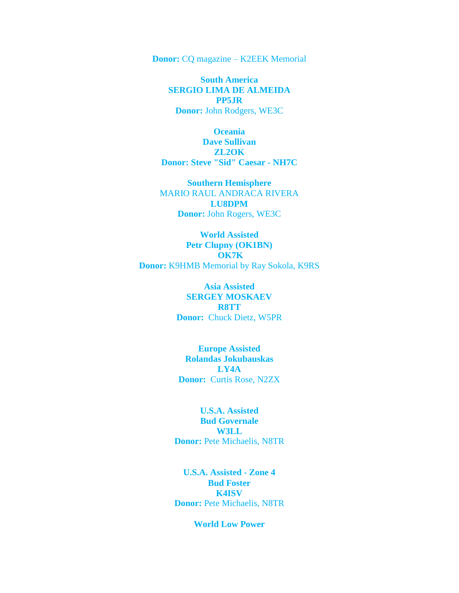**Donor:** CQ magazine – K2EEK Memorial

**South America SERGIO LIMA DE ALMEIDA PP5JR Donor:** John Rodgers, WE3C

**Oceania Dave Sullivan ZL2OK Donor: Steve "Sid" Caesar - NH7C**

**Southern Hemisphere** MARIO RAUL ANDRACA RIVERA **LU8DPM Donor:** John Rogers, WE3C

**World Assisted Petr Clupny (OK1BN) OK7K Donor:** K9HMB Memorial by Ray Sokola, K9RS

> **Asia Assisted SERGEY MOSKAEV R8TT Donor:** Chuck Dietz, W5PR

**Europe Assisted Rolandas Jokubauskas LY4A Donor:** Curtis Rose, N2ZX

**U.S.A. Assisted Bud Governale W3LL Donor:** Pete Michaelis, N8TR

**U.S.A. Assisted - Zone 4 Bud Foster K4ISV Donor:** Pete Michaelis, N8TR

### **World Low Power**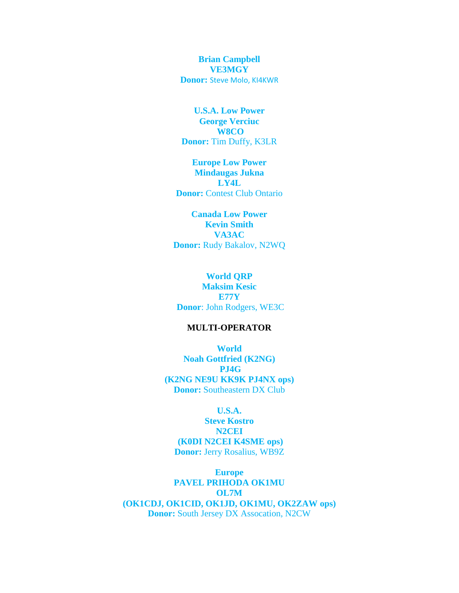**Brian Campbell VE3MGY Donor:** Steve Molo, KI4KWR

**U.S.A. Low Power George Verciuc W8CO Donor:** Tim Duffy, K3LR

**Europe Low Power Mindaugas Jukna LY4L Donor:** Contest Club Ontario

**Canada Low Power Kevin Smith VA3AC Donor:** Rudy Bakalov, N2WQ

#### **World QRP**

**Maksim Kesic E77Y Donor**: John Rodgers, WE3C

### **MULTI-OPERATOR**

**World Noah Gottfried (K2NG) PJ4G (K2NG NE9U KK9K PJ4NX ops) Donor:** Southeastern DX Club

### **U.S.A.**

**Steve Kostro N2CEI (K0DI N2CEI K4SME ops) Donor:** Jerry Rosalius, WB9Z

**Europe PAVEL PRIHODA OK1MU OL7M (OK1CDJ, OK1CID, OK1JD, OK1MU, OK2ZAW ops) Donor:** South Jersey DX Assocation, N2CW